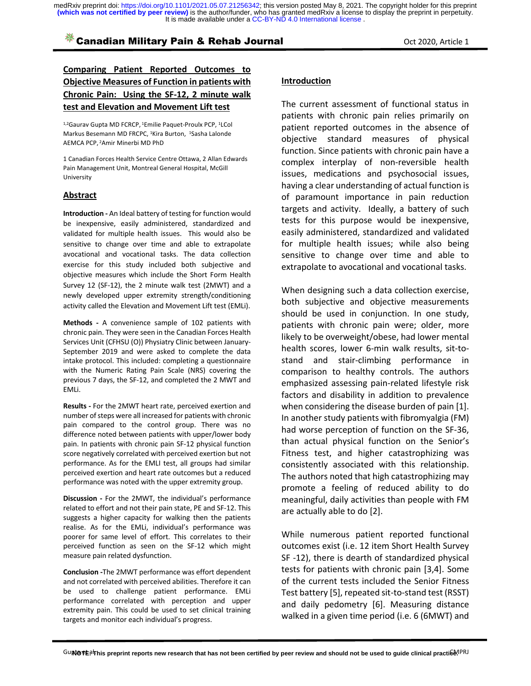## **Example 1** Canadian Military Pain & Rehab Journal **Canadian Military Pain & Rehab Journal** Communication Cot 2020, Article 1

## **Comparing Patient Reported Outcomes to Objective Measures of Function in patients with Chronic Pain: Using the SF-12, 2 minute walk test and Elevation and Movement Lift test**

<sup>1,2</sup>Gaurav Gupta MD FCRCP, <sup>1</sup>Emilie Paquet-Proulx PCP, <sup>1</sup>LCol Markus Besemann MD FRCPC, <sup>1</sup>Kira Burton, <sup>1</sup>Sasha Lalonde AEMCA PCP, 2Amir Minerbi MD PhD

1 Canadian Forces Health Service Centre Ottawa, 2 Allan Edwards Pain Management Unit, Montreal General Hospital, McGill University

#### **Abstract**

**Introduction -** An Ideal battery of testing for function would be inexpensive, easily administered, standardized and validated for multiple health issues. This would also be sensitive to change over time and able to extrapolate avocational and vocational tasks. The data collection exercise for this study included both subjective and objective measures which include the Short Form Health Survey 12 (SF-12), the 2 minute walk test (2MWT) and a newly developed upper extremity strength/conditioning activity called the Elevation and Movement Lift test (EMLi).

**Methods -** A convenience sample of 102 patients with chronic pain. They were seen in the Canadian Forces Health Services Unit (CFHSU (O)) Physiatry Clinic between January-September 2019 and were asked to complete the data intake protocol. This included: completing a questionnaire with the Numeric Rating Pain Scale (NRS) covering the previous 7 days, the SF-12, and completed the 2 MWT and EMLi.

**Results -** For the 2MWT heart rate, perceived exertion and number of steps were all increased for patients with chronic pain compared to the control group. There was no difference noted between patients with upper/lower body pain. In patients with chronic pain SF-12 physical function score negatively correlated with perceived exertion but not performance. As for the EMLI test, all groups had similar perceived exertion and heart rate outcomes but a reduced performance was noted with the upper extremity group.

**Discussion -** For the 2MWT, the individual's performance related to effort and not their pain state, PE and SF-12. This suggests a higher capacity for walking then the patients realise. As for the EMLi, individual's performance was poorer for same level of effort. This correlates to their perceived function as seen on the SF-12 which might measure pain related dysfunction.

**Conclusion -**The 2MWT performance was effort dependent and not correlated with perceived abilities. Therefore it can be used to challenge patient performance. EMLi performance correlated with perception and upper extremity pain. This could be used to set clinical training targets and monitor each individual's progress.

#### **Introduction**

The current assessment of functional status in patients with chronic pain relies primarily on patient reported outcomes in the absence of objective standard measures of physical function. Since patients with chronic pain have a complex interplay of non-reversible health issues, medications and psychosocial issues, having a clear understanding of actual function is of paramount importance in pain reduction targets and activity. Ideally, a battery of such tests for this purpose would be inexpensive, easily administered, standardized and validated for multiple health issues; while also being sensitive to change over time and able to extrapolate to avocational and vocational tasks.

When designing such a data collection exercise, both subjective and objective measurements should be used in conjunction. In one study, patients with chronic pain were; older, more likely to be overweight/obese, had lower mental health scores, lower 6-min walk results, sit-tostand and stair-climbing performance in comparison to healthy controls. The authors emphasized assessing pain-related lifestyle risk factors and disability in addition to prevalence when considering the disease burden of pain [1]. In another study patients with fibromyalgia (FM) had worse perception of function on the SF-36, than actual physical function on the Senior's Fitness test, and higher catastrophizing was consistently associated with this relationship. The authors noted that high catastrophizing may promote a feeling of reduced ability to do meaningful, daily activities than people with FM are actually able to do [2].

While numerous patient reported functional outcomes exist (i.e. 12 item Short Health Survey SF -12), there is dearth of standardized physical tests for patients with chronic pain [3,4]. Some of the current tests included the Senior Fitness Test battery [5], repeated sit-to-stand test (RSST) and daily pedometry [6]. Measuring distance walked in a given time period (i.e. 6 (6MWT) and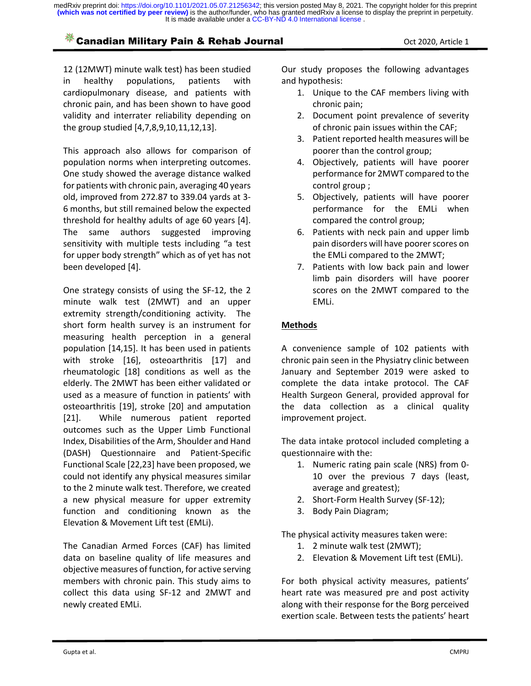# **Example 1** Canadian Military Pain & Rehab Journal **Canadian Military Pain & Rehab Journal** Communication Oct 2020, Article 1

12 (12MWT) minute walk test) has been studied in healthy populations, patients with cardiopulmonary disease, and patients with chronic pain, and has been shown to have good validity and interrater reliability depending on the group studied [4,7,8,9,10,11,12,13].

This approach also allows for comparison of population norms when interpreting outcomes. One study showed the average distance walked for patients with chronic pain, averaging 40 years old, improved from 272.87 to 339.04 yards at 3- 6 months, but still remained below the expected threshold for healthy adults of age 60 years [4]. The same authors suggested improving sensitivity with multiple tests including "a test for upper body strength" which as of yet has not been developed [4].

One strategy consists of using the SF-12, the 2 minute walk test (2MWT) and an upper extremity strength/conditioning activity. The short form health survey is an instrument for measuring health perception in a general population [14,15]. It has been used in patients with stroke [16], osteoarthritis [17] and rheumatologic [18] conditions as well as the elderly. The 2MWT has been either validated or used as a measure of function in patients' with osteoarthritis [19], stroke [20] and amputation [21]. While numerous patient reported outcomes such as the Upper Limb Functional Index, Disabilities of the Arm, Shoulder and Hand (DASH) Questionnaire and Patient-Specific Functional Scale [22,23] have been proposed, we could not identify any physical measures similar to the 2 minute walk test. Therefore, we created a new physical measure for upper extremity function and conditioning known as the Elevation & Movement Lift test (EMLi).

The Canadian Armed Forces (CAF) has limited data on baseline quality of life measures and objective measures of function, for active serving members with chronic pain. This study aims to collect this data using SF-12 and 2MWT and newly created EMLi.

Our study proposes the following advantages and hypothesis:

- 1. Unique to the CAF members living with chronic pain;
- 2. Document point prevalence of severity of chronic pain issues within the CAF;
- 3. Patient reported health measures will be poorer than the control group;
- 4. Objectively, patients will have poorer performance for 2MWT compared to the control group ;
- 5. Objectively, patients will have poorer performance for the EMLi when compared the control group;
- 6. Patients with neck pain and upper limb pain disorders will have poorer scores on the EMLi compared to the 2MWT;
- 7. Patients with low back pain and lower limb pain disorders will have poorer scores on the 2MWT compared to the EMLi.

## **Methods**

A convenience sample of 102 patients with chronic pain seen in the Physiatry clinic between January and September 2019 were asked to complete the data intake protocol. The CAF Health Surgeon General, provided approval for the data collection as a clinical quality improvement project.

The data intake protocol included completing a questionnaire with the:

- 1. Numeric rating pain scale (NRS) from 0- 10 over the previous 7 days (least, average and greatest);
- 2. Short-Form Health Survey (SF-12);
- 3. Body Pain Diagram;

The physical activity measures taken were:

- 1. 2 minute walk test (2MWT);
- 2. Elevation & Movement Lift test (EMLi).

For both physical activity measures, patients' heart rate was measured pre and post activity along with their response for the Borg perceived exertion scale. Between tests the patients' heart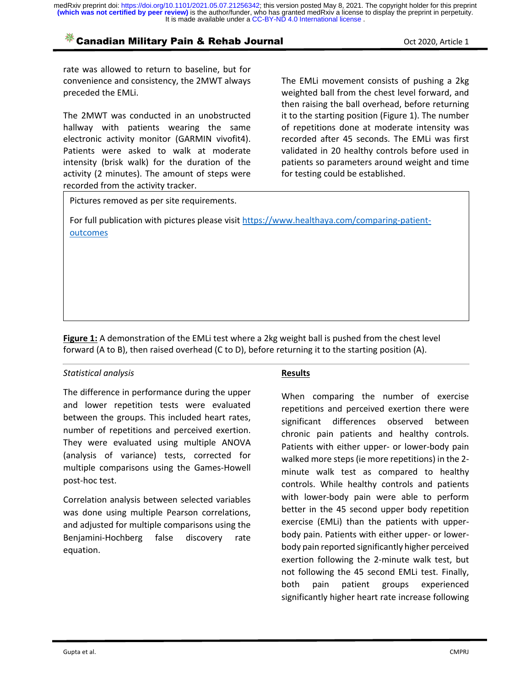# **Example 2020, Article 1** Canadian Military Pain & Rehab Journal **Canadian Military Pain & Rehab Journal** Contract 2020, Article 1

rate was allowed to return to baseline, but for convenience and consistency, the 2MWT always preceded the EMLi.

The 2MWT was conducted in an unobstructed hallway with patients wearing the same electronic activity monitor (GARMIN vivofit4). Patients were asked to walk at moderate intensity (brisk walk) for the duration of the activity (2 minutes). The amount of steps were recorded from the activity tracker.

The EMLi movement consists of pushing a 2kg weighted ball from the chest level forward, and then raising the ball overhead, before returning it to the starting position (Figure 1). The number of repetitions done at moderate intensity was recorded after 45 seconds. The EMLi was first validated in 20 healthy controls before used in patients so parameters around weight and time for testing could be established.

Pictures removed as per site requirements.

For full publication with pictures please visit https://www.healthaya.com/comparing-patientoutcomes

**Figure 1:** A demonstration of the EMLi test where a 2kg weight ball is pushed from the chest level forward (A to B), then raised overhead (C to D), before returning it to the starting position (A).

### *Statistical analysis*

The difference in performance during the upper and lower repetition tests were evaluated between the groups. This included heart rates, number of repetitions and perceived exertion. They were evaluated using multiple ANOVA (analysis of variance) tests, corrected for multiple comparisons using the Games-Howell post-hoc test.

Correlation analysis between selected variables was done using multiple Pearson correlations, and adjusted for multiple comparisons using the Benjamini-Hochberg false discovery rate equation.

### **Results**

When comparing the number of exercise repetitions and perceived exertion there were significant differences observed between chronic pain patients and healthy controls. Patients with either upper- or lower-body pain walked more steps (ie more repetitions) in the 2 minute walk test as compared to healthy controls. While healthy controls and patients with lower-body pain were able to perform better in the 45 second upper body repetition exercise (EMLi) than the patients with upperbody pain. Patients with either upper- or lowerbody pain reported significantly higher perceived exertion following the 2-minute walk test, but not following the 45 second EMLi test. Finally, both pain patient groups experienced significantly higher heart rate increase following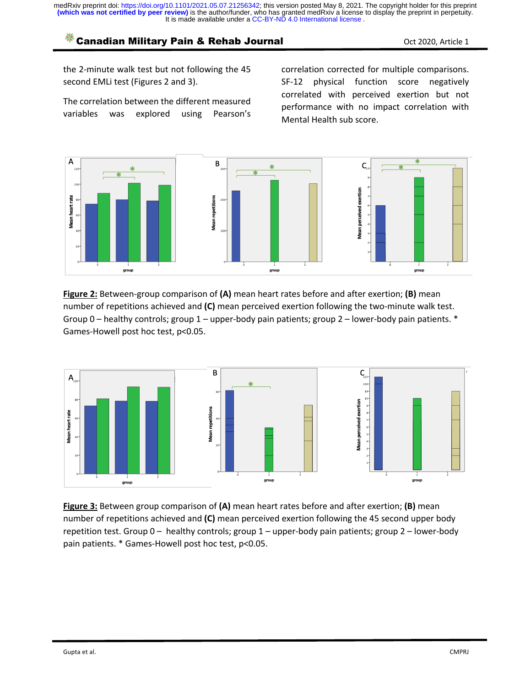# **Example 1** Canadian Military Pain & Rehab Journal **Canadian Military Pain & Rehab Journal** Communication Cot 2020, Article 1

the 2-minute walk test but not following the 45 second EMLi test (Figures 2 and 3).

The correlation between the different measured variables was explored using Pearson's

correlation corrected for multiple comparisons. SF-12 physical function score negatively correlated with perceived exertion but not performance with no impact correlation with Mental Health sub score.



**Figure 2:** Between-group comparison of **(A)** mean heart rates before and after exertion; **(B)** mean number of repetitions achieved and **(C)** mean perceived exertion following the two-minute walk test. Group 0 – healthy controls; group 1 – upper-body pain patients; group 2 – lower-body pain patients. \* Games-Howell post hoc test, p<0.05.



**Figure 3:** Between group comparison of **(A)** mean heart rates before and after exertion; **(B)** mean number of repetitions achieved and **(C)** mean perceived exertion following the 45 second upper body repetition test. Group 0 – healthy controls; group 1 – upper-body pain patients; group 2 – lower-body pain patients. \* Games-Howell post hoc test, p<0.05.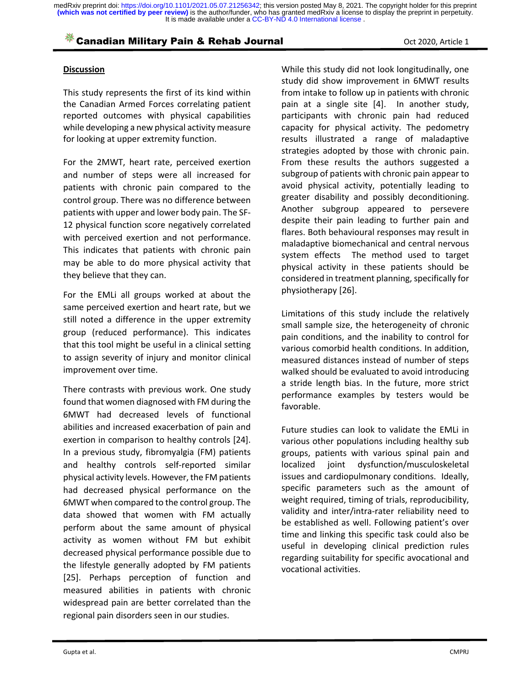# **Example 1** Canadian Military Pain & Rehab Journal **Canadian Military Pain & Rehab Journal** Communication Cot 2020, Article 1

#### **Discussion**

This study represents the first of its kind within the Canadian Armed Forces correlating patient reported outcomes with physical capabilities while developing a new physical activity measure for looking at upper extremity function.

For the 2MWT, heart rate, perceived exertion and number of steps were all increased for patients with chronic pain compared to the control group. There was no difference between patients with upper and lower body pain. The SF-12 physical function score negatively correlated with perceived exertion and not performance. This indicates that patients with chronic pain may be able to do more physical activity that they believe that they can.

For the EMLi all groups worked at about the same perceived exertion and heart rate, but we still noted a difference in the upper extremity group (reduced performance). This indicates that this tool might be useful in a clinical setting to assign severity of injury and monitor clinical improvement over time.

There contrasts with previous work. One study found that women diagnosed with FM during the 6MWT had decreased levels of functional abilities and increased exacerbation of pain and exertion in comparison to healthy controls [24]. In a previous study, fibromyalgia (FM) patients and healthy controls self-reported similar physical activity levels. However, the FM patients had decreased physical performance on the 6MWT when compared to the control group. The data showed that women with FM actually perform about the same amount of physical activity as women without FM but exhibit decreased physical performance possible due to the lifestyle generally adopted by FM patients [25]. Perhaps perception of function and measured abilities in patients with chronic widespread pain are better correlated than the regional pain disorders seen in our studies.

While this study did not look longitudinally, one study did show improvement in 6MWT results from intake to follow up in patients with chronic pain at a single site [4]. In another study, participants with chronic pain had reduced capacity for physical activity. The pedometry results illustrated a range of maladaptive strategies adopted by those with chronic pain. From these results the authors suggested a subgroup of patients with chronic pain appear to avoid physical activity, potentially leading to greater disability and possibly deconditioning. Another subgroup appeared to persevere despite their pain leading to further pain and flares. Both behavioural responses may result in maladaptive biomechanical and central nervous system effects The method used to target physical activity in these patients should be considered in treatment planning, specifically for physiotherapy [26].

Limitations of this study include the relatively small sample size, the heterogeneity of chronic pain conditions, and the inability to control for various comorbid health conditions. In addition, measured distances instead of number of steps walked should be evaluated to avoid introducing a stride length bias. In the future, more strict performance examples by testers would be favorable.

Future studies can look to validate the EMLi in various other populations including healthy sub groups, patients with various spinal pain and localized joint dysfunction/musculoskeletal issues and cardiopulmonary conditions. Ideally, specific parameters such as the amount of weight required, timing of trials, reproducibility, validity and inter/intra-rater reliability need to be established as well. Following patient's over time and linking this specific task could also be useful in developing clinical prediction rules regarding suitability for specific avocational and vocational activities.